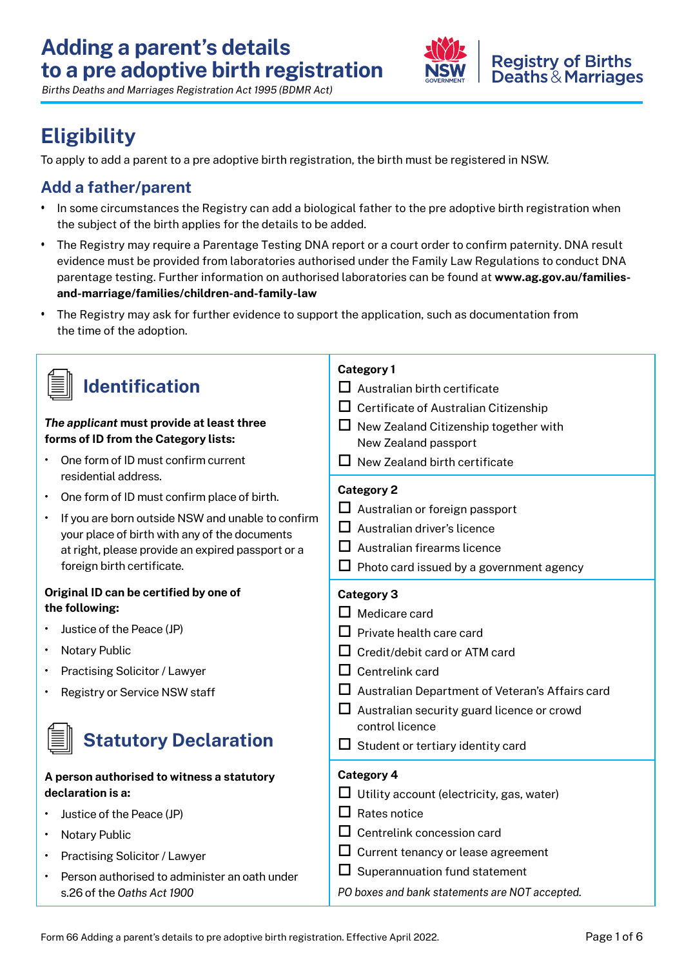

# **Eligibility**

To apply to add a parent to a pre adoptive birth registration, the birth must be registered in NSW.

### **Add a father/parent**

- In some circumstances the Registry can add a biological father to the pre adoptive birth registration when the subject of the birth applies for the details to be added.
- The Registry may require a Parentage Testing DNA report or a court order to confirm paternity. DNA result evidence must be provided from laboratories authorised under the Family Law Regulations to conduct DNA [parentage testing. Further information on authorised laboratories can be found at](https://www.ag.gov.au/families-and-marriage/families/children-and-family-law/accredited-parentage-testing-laboratories-and-nominated-reporters) **www.ag.gov.au/familiesand-marriage/families/children-and-family-law**
- The Registry may ask for further evidence to support the application, such as documentation from the time of the adoption.

|                                                             | <b>Category 1</b>                                      |  |
|-------------------------------------------------------------|--------------------------------------------------------|--|
| <b>Identification</b>                                       | $\Box$ Australian birth certificate                    |  |
|                                                             | Certificate of Australian Citizenship                  |  |
| The applicant must provide at least three                   | $\Box$ New Zealand Citizenship together with           |  |
| forms of ID from the Category lists:                        | New Zealand passport                                   |  |
| One form of ID must confirm current<br>residential address. | New Zealand birth certificate<br>ப                     |  |
| One form of ID must confirm place of birth.                 | <b>Category 2</b>                                      |  |
| If you are born outside NSW and unable to confirm           | $\Box$ Australian or foreign passport                  |  |
| your place of birth with any of the documents               | $\Box$ Australian driver's licence                     |  |
| at right, please provide an expired passport or a           | ப<br>Australian firearms licence                       |  |
| foreign birth certificate.                                  | Photo card issued by a government agency               |  |
| Original ID can be certified by one of                      | <b>Category 3</b>                                      |  |
| the following:                                              | Medicare card<br>LΙ                                    |  |
| Justice of the Peace (JP)                                   | Private health care card                               |  |
| <b>Notary Public</b>                                        | Credit/debit card or ATM card<br>ப                     |  |
| <b>Practising Solicitor / Lawyer</b>                        | $\Box$ Centrelink card                                 |  |
| Registry or Service NSW staff                               | $\Box$ Australian Department of Veteran's Affairs card |  |
|                                                             | $\Box$ Australian security guard licence or crowd      |  |
|                                                             | control licence                                        |  |
| <b>Statutory Declaration</b>                                | $\Box$ Student or tertiary identity card               |  |
| A person authorised to witness a statutory                  | <b>Category 4</b>                                      |  |
| declaration is a:                                           | Utility account (electricity, gas, water)              |  |
| Justice of the Peace (JP)                                   | $\Box$<br>Rates notice                                 |  |
| <b>Notary Public</b><br>$\bullet$                           | ப<br>Centrelink concession card                        |  |
| <b>Practising Solicitor / Lawyer</b><br>٠                   | ப<br>Current tenancy or lease agreement                |  |
| Person authorised to administer an oath under               | Superannuation fund statement<br>ш                     |  |
| s.26 of the Oaths Act 1900                                  | PO boxes and bank statements are NOT accepted.         |  |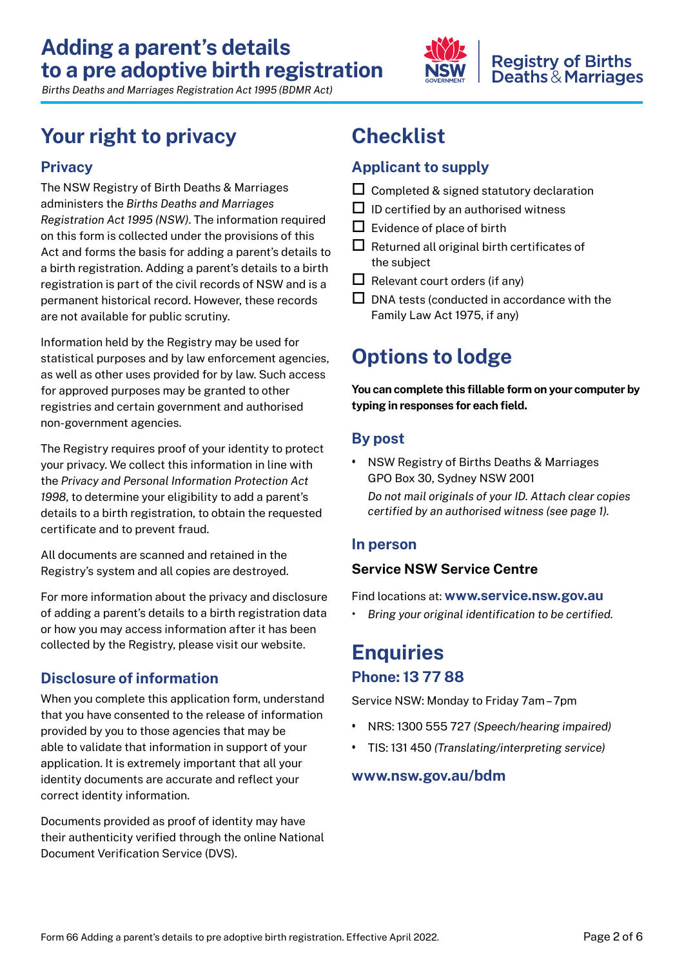

### **Registry of Births Deaths & Marriages**

*Births Deaths and Marriages Registration Act 1995 (BDMR Act)*

## **Your right to privacy-**

### **Privacy-**

 on this form is collected under the provisions of this Act and forms the basis for adding a parent's details to a birth registration. Adding a parent's details to a birth The NSW Registry of Birth Deaths & Marriages administers the *Births Deaths and Marriages Registration Act 1995 (NSW)*. The information required registration is part of the civil records of NSW and is a permanent historical record. However, these records are not available for public scrutiny.

 as well as other uses provided for by law. Such access Information held by the Registry may be used for statistical purposes and by law enforcement agencies, for approved purposes may be granted to other registries and certain government and authorised non-government agencies.

 your privacy. We collect this information in line with details to a birth registration, to obtain the requested The Registry requires proof of your identity to protect the *Privacy and Personal Information Protection Act 1998*, to determine your eligibility to add a parent's certificate and to prevent fraud.

All documents are scanned and retained in the Registry's system and all copies are destroyed.

 of adding a parent's details to a birth registration data collected by the Registry, please visit our website. For more information about the privacy and disclosure or how you may access information after it has been

### **Disclosure-of information-**

 that you have consented to the release of information provided by you to those agencies that may be When you complete this application form, understand able to validate that information in support of your application. It is extremely important that all your identity-documents are accurate and reflect your correct identity information.

Documents provided as proof of identity may have their authenticity verified through the online National Document Verification Service (DVS).

# **Checklist-**

### **Applicant to supply-**

- $\square$  Completed & signed statutory declaration
- $\Box$  ID certified by an authorised witness
- $\Box$  Evidence of place of birth
- $\Box$  Returned all original birth certificates of the subject
- $\Box$  Relevant court orders (if any)
- $\square$  DNA tests (conducted in accordance with the Family Law Act 1975, if any)

# **Options to lodge**

 **You can complete-this-fillable form on your computer by typing in responses for each field.-**

### **By post**

 • NSW Registry of Births Deaths & Marriages GPO Box 30, Sydney NSW 2001  *Do not mail originals of your ID. Attach clear copies certified by an authorised witness (see page 1).-*

### **In person**

### **Service NSW Service Centre**

Find locations at: **[www.service.nsw.gov.au](http://www.service.nsw.gov.au/)-**

**•** Bring your original identification to be certified.

## **Enquiries Phone: 13 77 88**

Service NSW: Monday to Friday 7am – 7pm

- • NRS: 1300 555 727 *(Speech/hearing impaired)*
- • TIS: 131 450 *(Translating/interpreting service)*

### **[www.nsw.gov.au/bdm](http://www.nsw.gov.au/bdm)**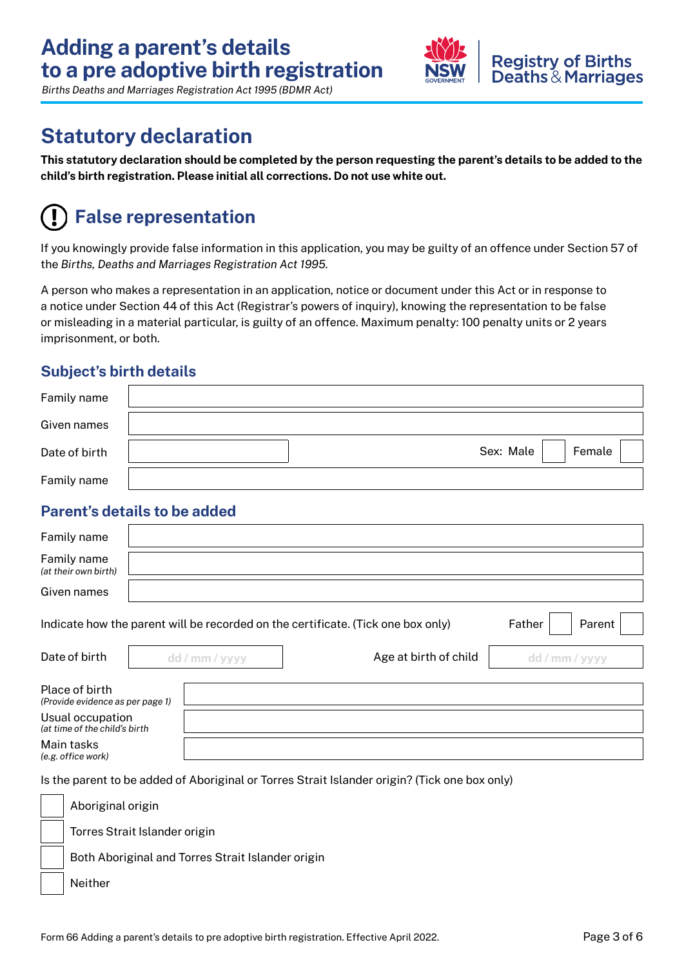

## **Statutory declaration**

This statutory declaration should be completed by the person requesting the parent's details to be added to the  **child's-birth registration.-Please-initial all corrections.-Do-not use-white-out.-**

# **False representation**

If you knowingly provide false information in this application, you may be guilty of an offence under Section 57 of the *Births, Deaths and Marriages Registration Act 1995.* 

 A person who makes a representation in an application, notice or document under this Act or in response to or misleading in a material particular, is guilty of an offence. Maximum penalty: 100 penalty units or 2 years a notice under Section 44 of this Act (Registrar's powers of inquiry), knowing the representation to be false imprisonment, or both.

### **Subject's birth details-**

| Family name   |           |        |
|---------------|-----------|--------|
| Given names   |           |        |
| Date of birth | Sex: Male | Female |
| Family name   |           |        |

### **Parent's details to be added**

| Family name                                                                                          |  |                |                       |                |
|------------------------------------------------------------------------------------------------------|--|----------------|-----------------------|----------------|
| Family name<br>(at their own birth)                                                                  |  |                |                       |                |
| Given names                                                                                          |  |                |                       |                |
| Indicate how the parent will be recorded on the certificate. (Tick one box only)<br>Father<br>Parent |  |                |                       |                |
| Date of birth                                                                                        |  | dd / mm / yyyy | Age at birth of child | dd / mm / yyyy |
| Place of birth<br>(Provide evidence as per page 1)                                                   |  |                |                       |                |
| Usual occupation<br>(at time of the child's birth                                                    |  |                |                       |                |
| Main tasks<br>(e.g. office work)                                                                     |  |                |                       |                |

Is the parent to be added of Aboriginal or Torres Strait Islander origin? (Tick one box only)

| Aboriginal origin                                 |
|---------------------------------------------------|
| Torres Strait Islander origin                     |
| Both Aboriginal and Torres Strait Islander origin |
| Neither                                           |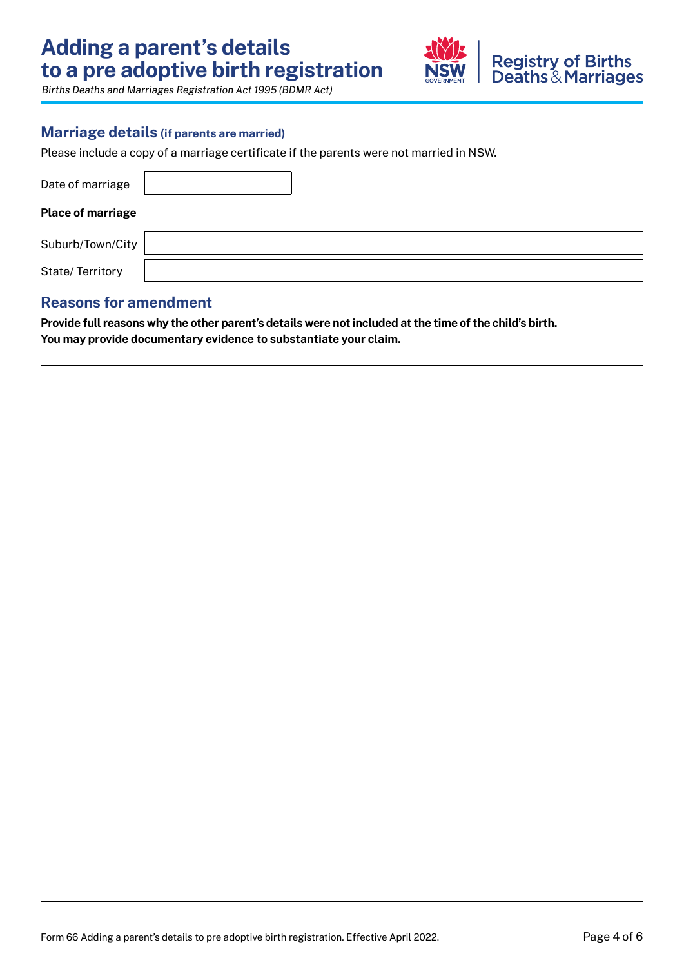

### **Marriage details (if parents are married)**

Please include a copy of a marriage certificate if the parents were not married in NSW.

| Date of marriage         |  |  |
|--------------------------|--|--|
| <b>Place of marriage</b> |  |  |
| Suburb/Town/City         |  |  |
| State/Territory          |  |  |

### **Reasons for amendment**

**Provide full reasons-why-the-other parent's-details-were not included at the-time-of the-child's birth.-**  You may provide documentary evidence to substantiate your claim.

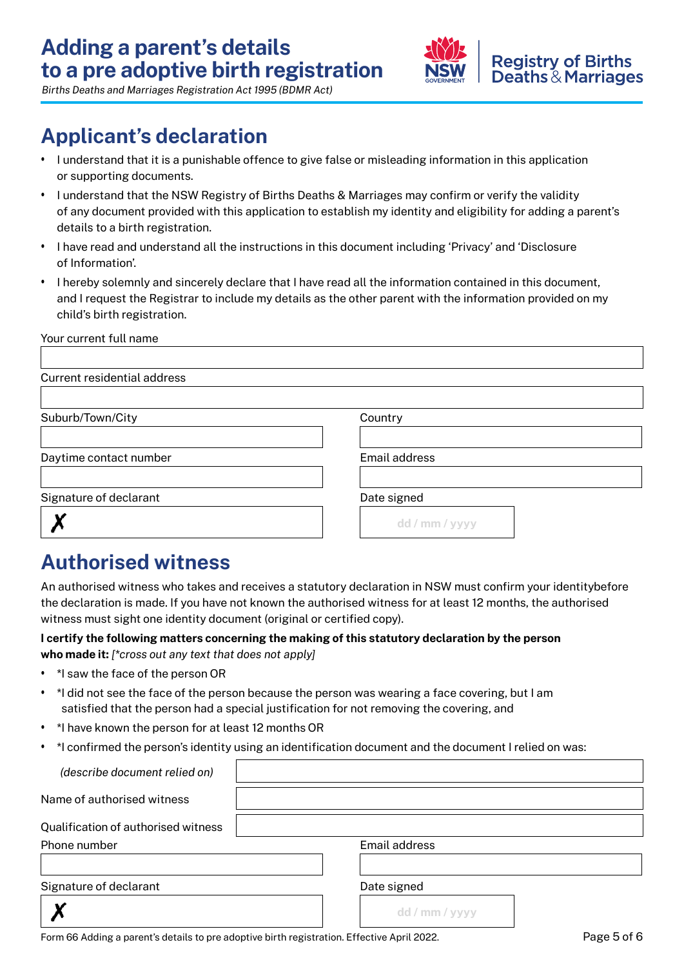

## **Applicant's declaration**

- • I understand that it is a punishable offence to give false or misleading information in this application or supporting documents.
- I understand that the NSW Registry of Births Deaths & Marriages may confirm or verify the validity of any document provided with this application to establish my identity and eligibility for adding a parent's details to a birth registration.
- • I have read and understand all the instructions in this document including 'Privacy' and 'Disclosure of Information'.
- • I hereby solemnly and sincerely declare that I have read all the information contained in this document, and I request the Registrar to include my details as the other parent with the information provided on my child's birth registration.

| Your current full name             |                      |
|------------------------------------|----------------------|
|                                    |                      |
| <b>Current residential address</b> |                      |
|                                    |                      |
| Suburb/Town/City                   | Country              |
|                                    |                      |
| Daytime contact number             | <b>Email address</b> |
|                                    |                      |
| Signature of declarant             | Date signed          |
|                                    | dd / mm / yyyy       |
|                                    |                      |

## **Authorised witness**

An authorised witness who takes and receives a statutory declaration in NSW must confirm your identitybefore the declaration is made. If you have not known the authorised witness for at least 12 months, the authorised witness must sight one identity document (original or certified copy).

#### **l** certify the following matters concerning the making of this statutory declaration by the person  **who made it:** *[\*cross out any text that does not apply]*

- • \*I saw the face of the person OR
- • \*I did not see the face of the person because the person was wearing a face covering, but I am satisfied that the person had a special justification for not removing the covering, and
- • \*I have known the person for at least 12 months OR
- \*I confirmed the person's identity using an identification document and the document I relied on was:

| (describe document relied on)       |                |
|-------------------------------------|----------------|
| Name of authorised witness          |                |
| Qualification of authorised witness |                |
| Phone number                        | Email address  |
|                                     |                |
| Signature of declarant              | Date signed    |
|                                     | dd / mm / yyyy |